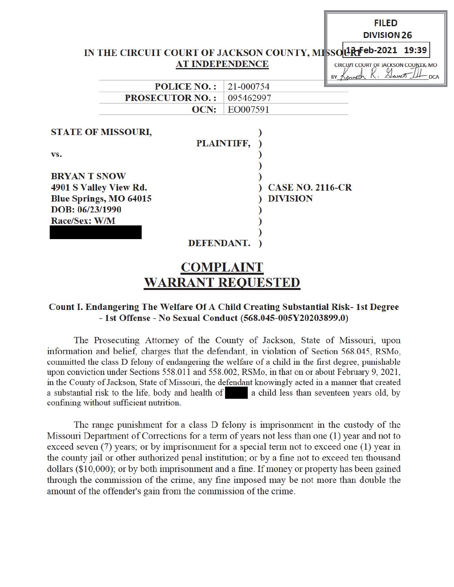

# Count I. Endangering The Welfare Of A Child Creating Substantial Risk-1st Degree - 1st Offense - No Sexual Conduct (568.045-005Y20203899.0)

The Prosecuting Attorney of the County of Jackson, State of Missouri, upon information and belief, charges that the defendant, in violation of Section 568.045, RSMo, committed the class D felony of endangering the welfare of a child in the first degree, punishable upon conviction under Sections 558.011 and 558.002, RSMo, in that on or about February 9, 2021, in the County of Jackson, State of Missouri, the defendant knowingly acted in a manner that created a substantial risk to the life, body and health of a child less than seventeen years old, by confining without sufficient nutrition.

The range punishment for a class D felony is imprisonment in the custody of the Missouri Department of Corrections for a term of years not less than one (1) year and not to exceed seven (7) years; or by imprisonment for a special term not to exceed one (1) year in the county jail or other authorized penal institution; or by a fine not to exceed ten thousand dollars (\$10,000); or by both imprisonment and a fine. If money or property has been gained through the commission of the crime, any fine imposed may be not more than double the amount of the offender's gain from the commission of the crime.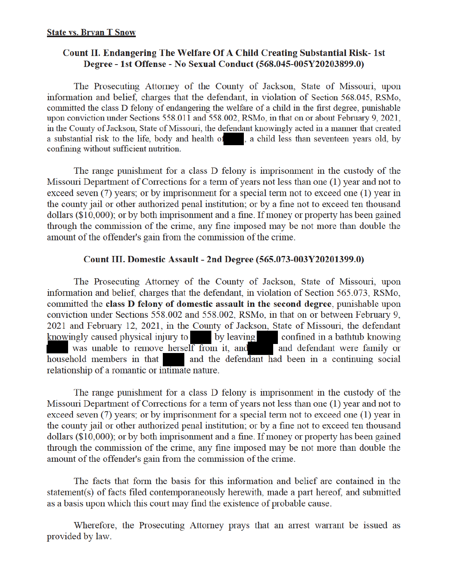#### **State vs. Bryan T Snow**

## Count II. Endangering The Welfare Of A Child Creating Substantial Risk-1st Degree - 1st Offense - No Sexual Conduct (568.045-005Y20203899.0)

The Prosecuting Attorney of the County of Jackson, State of Missouri, upon information and belief, charges that the defendant, in violation of Section 568.045, RSMo, committed the class D felony of endangering the welfare of a child in the first degree, punishable upon conviction under Sections 558.011 and 558.002, RSMo, in that on or about February 9, 2021, in the County of Jackson, State of Missouri, the defendant knowingly acted in a manner that created a substantial risk to the life, body and health of , a child less than seventeen years old, by confining without sufficient nutrition.

The range punishment for a class D felony is imprisonment in the custody of the Missouri Department of Corrections for a term of years not less than one (1) year and not to exceed seven (7) years; or by imprisonment for a special term not to exceed one (1) year in the county jail or other authorized penal institution; or by a fine not to exceed ten thousand dollars (\$10,000); or by both imprisonment and a fine. If money or property has been gained through the commission of the crime, any fine imposed may be not more than double the amount of the offender's gain from the commission of the crime.

## Count III. Domestic Assault - 2nd Degree (565.073-003Y20201399.0)

The Prosecuting Attorney of the County of Jackson, State of Missouri, upon information and belief, charges that the defendant, in violation of Section 565.073, RSMo, committed the class D felony of domestic assault in the second degree, punishable upon conviction under Sections 558.002 and 558.002, RSMo, in that on or between February 9, 2021 and February 12, 2021, in the County of Jackson, State of Missouri, the defendant knowingly caused physical injury to by leaving confined in a bathtub knowing was unable to remove herself from it, and and defendant were family or household members in that and the defendant had been in a continuing social relationship of a romantic or intimate nature.

The range punishment for a class D felony is imprisonment in the custody of the Missouri Department of Corrections for a term of years not less than one (1) year and not to exceed seven (7) years; or by imprisonment for a special term not to exceed one (1) year in the county jail or other authorized penal institution; or by a fine not to exceed ten thousand dollars (\$10,000); or by both imprisonment and a fine. If money or property has been gained through the commission of the crime, any fine imposed may be not more than double the amount of the offender's gain from the commission of the crime.

The facts that form the basis for this information and belief are contained in the statement(s) of facts filed contemporaneously herewith, made a part hereof, and submitted as a basis upon which this court may find the existence of probable cause.

Wherefore, the Prosecuting Attorney prays that an arrest warrant be issued as provided by law.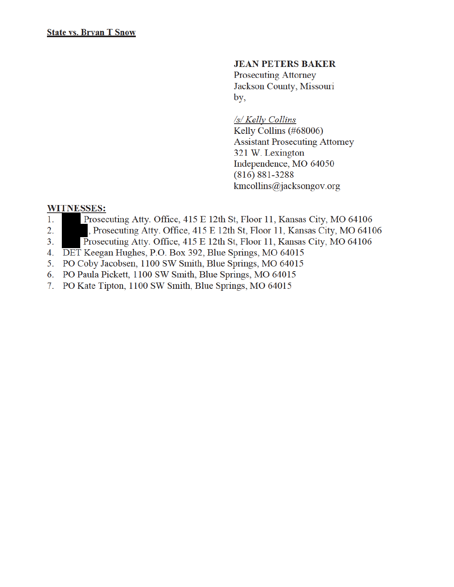### **JEAN PETERS BAKER**

**Prosecuting Attorney** Jackson County, Missouri by,

#### /s/ Kelly Collins

Kelly Collins (#68006) **Assistant Prosecuting Attorney** 321 W. Lexington Independence, MO 64050  $(816) 881 - 3288$  $km$ collins@jacksongov.org

#### **WITNESSES:**

- Prosecuting Atty. Office, 415 E 12th St, Floor 11, Kansas City, MO 64106  $1.$
- $2.$ , Prosecuting Atty. Office, 415 E 12th St, Floor 11, Kansas City, MO 64106
- Prosecuting Atty. Office, 415 E 12th St, Floor 11, Kansas City, MO 64106  $3<sub>1</sub>$
- 4. DET Keegan Hughes, P.O. Box 392, Blue Springs, MO 64015
- 5. PO Coby Jacobsen, 1100 SW Smith, Blue Springs, MO 64015
- 6. PO Paula Pickett, 1100 SW Smith, Blue Springs, MO 64015
- 7. PO Kate Tipton, 1100 SW Smith, Blue Springs, MO 64015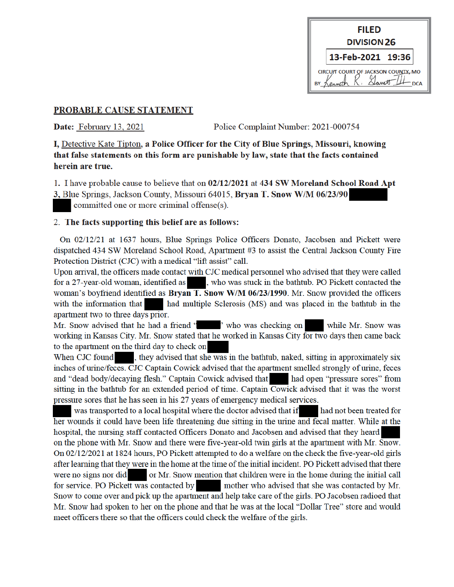

## PROBABLE CAUSE STATEMENT

Date: February 13, 2021

Police Complaint Number: 2021-000754

I, Detective Kate Tipton, a Police Officer for the City of Blue Springs, Missouri, knowing that false statements on this form are punishable by law, state that the facts contained herein are true.

1. I have probable cause to believe that on 02/12/2021 at 434 SW Moreland School Road Apt

3, Blue Springs, Jackson County, Missouri 64015, Bryan T. Snow W/M 06/23/90 committed one or more criminal offense(s).

### 2. The facts supporting this belief are as follows:

On 02/12/21 at 1637 hours, Blue Springs Police Officers Donato, Jacobsen and Pickett were dispatched 434 SW Moreland School Road, Apartment #3 to assist the Central Jackson County Fire Protection District (CJC) with a medical "lift assist" call.

Upon arrival, the officers made contact with CJC medical personnel who advised that they were called for a 27-year-old woman, identified as , who was stuck in the bathtub. PO Pickett contacted the woman's boyfriend identified as Bryan T. Snow W/M 06/23/1990. Mr. Snow provided the officers with the information that had multiple Sclerosis (MS) and was placed in the bathtub in the apartment two to three days prior.

Mr. Snow advised that he had a friend " ' who was checking on while Mr. Snow was working in Kansas City. Mr. Snow stated that he worked in Kansas City for two days then came back to the apartment on the third day to check on

When CJC found , they advised that she was in the bathtub, naked, sitting in approximately six inches of urine/feces. CJC Captain Cowick advised that the apartment smelled strongly of urine, feces and "dead body/decaying flesh." Captain Cowick advised that had open "pressure sores" from sitting in the bathtub for an extended period of time. Captain Cowick advised that it was the worst pressure sores that he has seen in his 27 years of emergency medical services.

was transported to a local hospital where the doctor advised that if had not been treated for her wounds it could have been life threatening due sitting in the urine and fecal matter. While at the hospital, the nursing staff contacted Officers Donato and Jacobsen and advised that they heard on the phone with Mr. Snow and there were five-year-old twin girls at the apartment with Mr. Snow. On 02/12/2021 at 1824 hours, PO Pickett attempted to do a welfare on the check the five-year-old girls after learning that they were in the home at the time of the initial incident. PO Pickett advised that there were no signs nor did or Mr. Snow mention that children were in the home during the initial call for service. PO Pickett was contacted by mother who advised that she was contacted by Mr. Snow to come over and pick up the apartment and help take care of the girls. PO Jacobsen radioed that Mr. Snow had spoken to her on the phone and that he was at the local "Dollar Tree" store and would meet officers there so that the officers could check the welfare of the girls.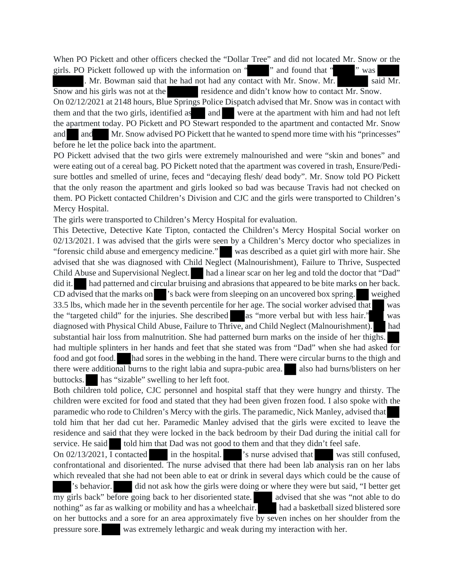When PO Pickett and other officers checked the "Dollar Tree" and did not located Mr. Snow or the girls. PO Pickett followed up with the information on " " and found that " " " was

. Mr. Bowman said that he had not had any contact with Mr. Snow. Mr. said Mr. Snow and his girls was not at the residence and didn't know how to contact Mr. Snow. On 02/12/2021 at 2148 hours, Blue Springs Police Dispatch advised that Mr. Snow was in contact with them and that the two girls, identified as and were at the apartment with him and had not left the apartment today. PO Pickett and PO Stewart responded to the apartment and contacted Mr. Snow and and Mr. Snow advised PO Pickett that he wanted to spend more time with his "princesses"

before he let the police back into the apartment.

PO Pickett advised that the two girls were extremely malnourished and were "skin and bones" and were eating out of a cereal bag. PO Pickett noted that the apartment was covered in trash, Ensure/Pedisure bottles and smelled of urine, feces and "decaying flesh/ dead body". Mr. Snow told PO Pickett that the only reason the apartment and girls looked so bad was because Travis had not checked on them. PO Pickett contacted Children's Division and CJC and the girls were transported to Children's Mercy Hospital.

The girls were transported to Children's Mercy Hospital for evaluation.

This Detective, Detective Kate Tipton, contacted the Children's Mercy Hospital Social worker on 02/13/2021. I was advised that the girls were seen by a Children's Mercy doctor who specializes in "forensic child abuse and emergency medicine." was described as a quiet girl with more hair. She advised that she was diagnosed with Child Neglect (Malnourishment), Failure to Thrive, Suspected Child Abuse and Supervisional Neglect. had a linear scar on her leg and told the doctor that "Dad" did it. had patterned and circular bruising and abrasions that appeared to be bite marks on her back. CD advised that the marks on 's back were from sleeping on an uncovered box spring. weighed 33.5 lbs, which made her in the seventh percentile for her age. The social worker advised that was the "targeted child" for the injuries. She described as "more verbal but with less hair." was diagnosed with Physical Child Abuse, Failure to Thrive, and Child Neglect (Malnourishment). had substantial hair loss from malnutrition. She had patterned burn marks on the inside of her thighs. had multiple splinters in her hands and feet that she stated was from "Dad" when she had asked for food and got food. had sores in the webbing in the hand. There were circular burns to the thigh and there were additional burns to the right labia and supra-pubic area. also had burns/blisters on her buttocks. has "sizable" swelling to her left foot.

Both children told police, CJC personnel and hospital staff that they were hungry and thirsty. The children were excited for food and stated that they had been given frozen food. I also spoke with the paramedic who rode to Children's Mercy with the girls. The paramedic, Nick Manley, advised that told him that her dad cut her. Paramedic Manley advised that the girls were excited to leave the residence and said that they were locked in the back bedroom by their Dad during the initial call for service. He said told him that Dad was not good to them and that they didn't feel safe. On 02/13/2021, I contacted in the hospital. 's nurse advised that was still confused, confrontational and disoriented. The nurse advised that there had been lab analysis ran on her labs which revealed that she had not been able to eat or drink in several days which could be the cause of 's behavior. did not ask how the girls were doing or where they were but said, "I better get

my girls back" before going back to her disoriented state. advised that she was "not able to do nothing" as far as walking or mobility and has a wheelchair. had a basketball sized blistered sore on her buttocks and a sore for an area approximately five by seven inches on her shoulder from the pressure sore. was extremely lethargic and weak during my interaction with her.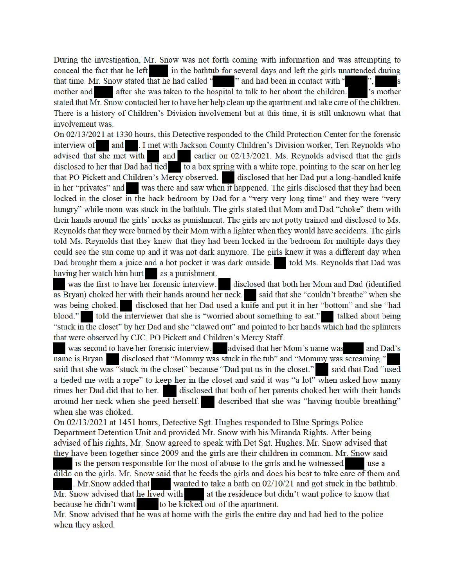During the investigation, Mr. Snow was not forth coming with information and was attempting to conceal the fact that he left in the bathtub for several days and left the girls unattended during that time. Mr. Snow stated that he had called " " and had been in contact with " after she was taken to the hospital to talk to her about the children. mother and 's mother stated that Mr. Snow contacted her to have her help clean up the apartment and take care of the children. There is a history of Children's Division involvement but at this time, it is still unknown what that involvement was.

On 02/13/2021 at 1330 hours, this Detective responded to the Child Protection Center for the forensic and . I met with Jackson County Children's Division worker, Teri Reynolds who interview of advised that she met with and earlier on 02/13/2021. Ms. Reynolds advised that the girls disclosed to her that Dad had tied to a box spring with a white rope, pointing to the scar on her leg that PO Pickett and Children's Mercy observed. disclosed that her Dad put a long-handled knife in her "privates" and was there and saw when it happened. The girls disclosed that they had been locked in the closet in the back bedroom by Dad for a "very very long time" and they were "very hungry" while mom was stuck in the bathtub. The girls stated that Mom and Dad "choke" them with their hands around the girls' necks as punishment. The girls are not potty trained and disclosed to Ms. Reynolds that they were burned by their Mom with a lighter when they would have accidents. The girls told Ms. Reynolds that they knew that they had been locked in the bedroom for multiple days they could see the sun come up and it was not dark anymore. The girls knew it was a different day when Dad brought them a juice and a hot pocket it was dark outside. told Ms. Reynolds that Dad was having her watch him hurt as a punishment.

was the first to have her forensic interview. disclosed that both her Mom and Dad (identified as Bryan) choked her with their hands around her neck. said that she "couldn't breathe" when she disclosed that her Dad used a knife and put it in her "bottom" and she "had was being choked. told the interviewer that she is "worried about something to eat." blood." talked about being "stuck in the closet" by her Dad and she "clawed out" and pointed to her hands which had the splinters that were observed by CJC, PO Pickett and Children's Mercy Staff.

was second to have her forensic interview. advised that her Mom's name was and Dad's name is Bryan. disclosed that "Mommy was stuck in the tub" and "Mommy was screaming." said that she was "stuck in the closet" because "Dad put us in the closet." said that Dad "used a tieded me with a rope" to keep her in the closet and said it was "a lot" when asked how many times her Dad did that to her. disclosed that both of her parents choked her with their hands around her neck when she peed herself. described that she was "having trouble breathing" when she was choked.

On 02/13/2021 at 1451 hours, Detective Sgt. Hughes responded to Blue Springs Police Department Detention Unit and provided Mr. Snow with his Miranda Rights. After being advised of his rights, Mr. Snow agreed to speak with Det Sgt. Hughes. Mr. Snow advised that they have been together since 2009 and the girls are their children in common. Mr. Snow said

is the person responsible for the most of abuse to the girls and he witnessed use a dildo on the girls. Mr. Snow said that he feeds the girls and does his best to take care of them and

wanted to take a bath on 02/10/21 and got stuck in the bathtub. . Mr. Snow added that Mr. Snow advised that he lived with at the residence but didn't want police to know that because he didn't want to be kicked out of the apartment.

Mr. Snow advised that he was at home with the girls the entire day and had lied to the police when they asked.